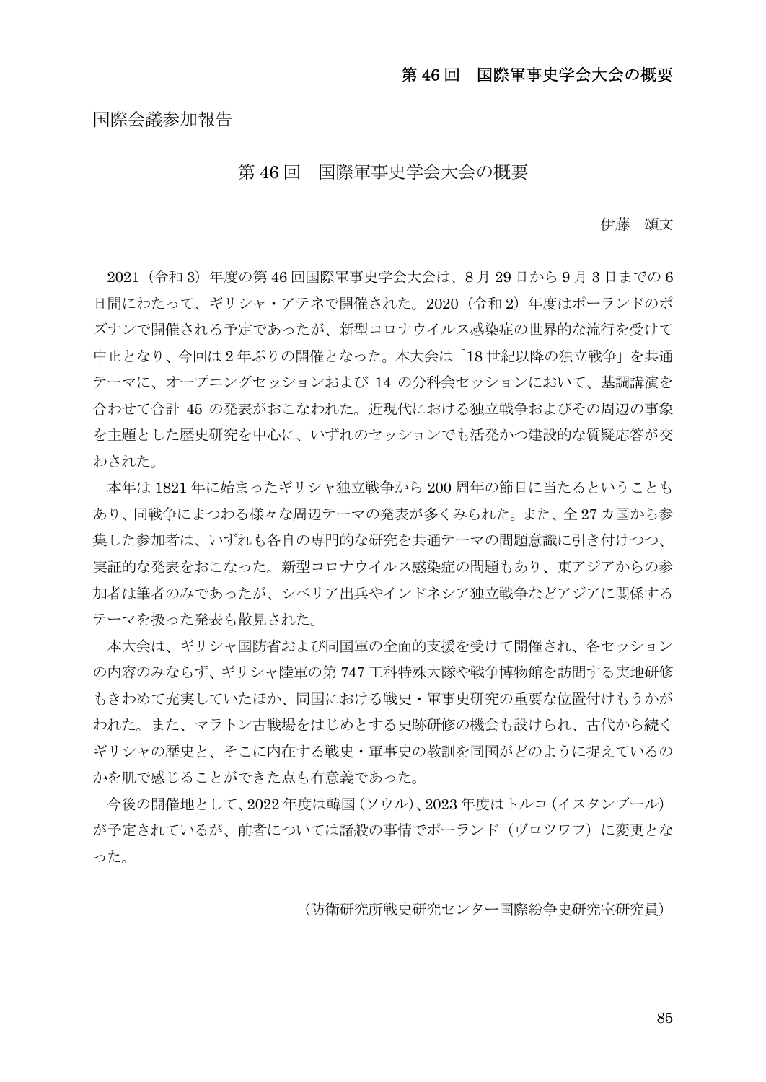## 第 46 回 国際軍事史学会大会の概要

#### 国際会議参加報告

#### 第 46 回 国際軍事史学会大会の概要

伊藤 頌文

2021 (令和 3) 年度の第 46 回国際軍事史学会大会は、8 月 29 日から 9 月 3 日までの 6 日間にわたって、ギリシャ・アテネで開催された。2020 (令和 2) 年度はポーランドのポ ズナンで開催される予定であったが、新型コロナウイルス感染症の世界的な流行を受けて 中止となり、今回は 2 年ぶりの開催となった。本大会は「18 世紀以降の独立戦争」を共通 テーマに、オープニングセッションおよび 14 の分科会セッションにおいて、基調講演を 合わせて合計 45 の発表がおこなわれた。近現代における独立戦争およびその周辺の事象 を主題とした歴史研究を中心に、いずれのセッションでも活発かつ建設的な質疑応答が交 わされた。

本年は 1821 年に始まったギリシャ独立戦争から 200 周年の節目に当たるということも あり、同戦争にまつわる様々な周辺テーマの発表が多くみられた。また、全 27 カ国から参 集した参加者は、いずれも各自の専門的な研究を共通テーマの問題意識に引き付けつつ、 実証的な発表をおこなった。新型コロナウイルス感染症の問題もあり、東アジアからの参 加者は筆者のみであったが、シベリア出兵やインドネシア独立戦争などアジアに関係する テーマを扱った発表も散見された。

本大会は、ギリシャ国防省および同国軍の全面的支援を受けて開催され、各セッション の内容のみならず、ギリシャ陸軍の第 747 工科特殊大隊や戦争博物館を訪問する実地研修 もきわめて充実していたほか、同国における戦史・軍事史研究の重要な位置付けもうかが われた。また、マラトン古戦場をはじめとする史跡研修の機会も設けられ、古代から続く ギリシャの歴史と、そこに内在する戦史・軍事史の教訓を同国がどのように捉えているの かを肌で感じることができた点も有意義であった。

今後の開催地として、2022 年度は韓国(ソウル)、2023 年度はトルコ(イスタンブール) が予定されているが、前者については諸般の事情でポーランド(ヴロツワフ)に変更とな った。

(防衛研究所戦史研究センター国際紛争史研究室研究員)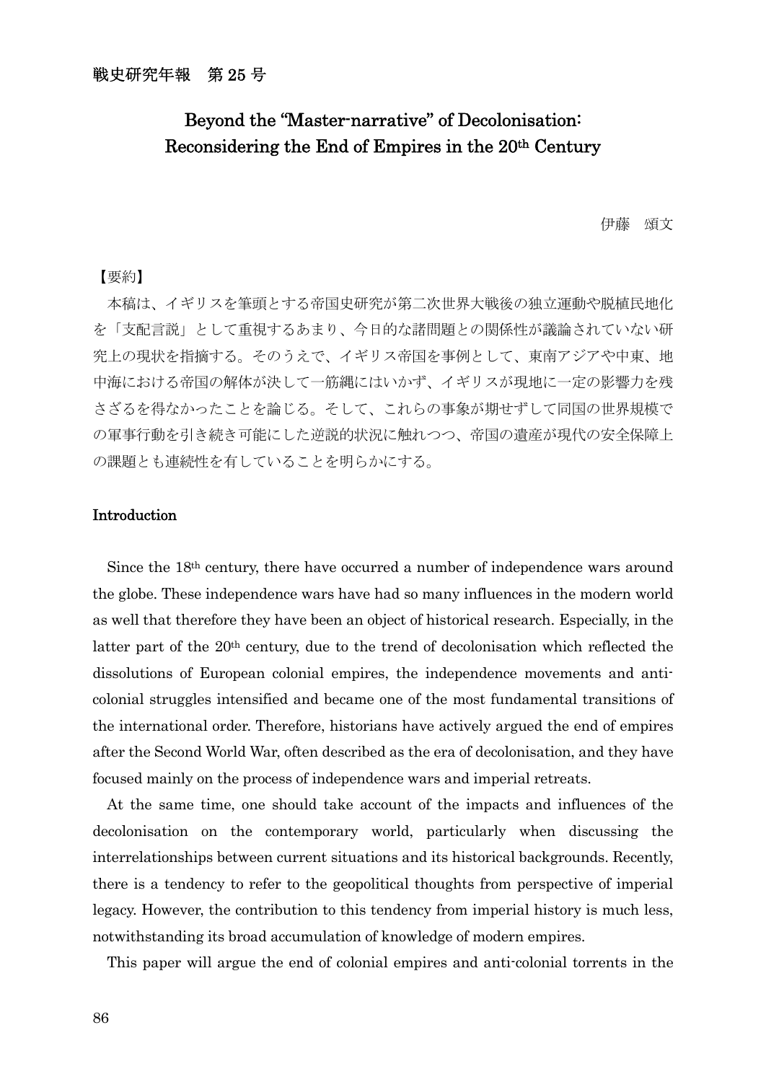# Beyond the "Master-narrative" of Decolonisation: Reconsidering the End of Empires in the 20th Century

伊藤 頌文

#### 【要約】

本稿は、イギリスを筆頭とする帝国史研究が第二次世界大戦後の独立運動や脱植民地化 を「支配言説」として重視するあまり、今日的な諸問題との関係性が議論されていない研 究上の現状を指摘する。そのうえで、イギリス帝国を事例として、東南アジアや中東、地 中海における帝国の解体が決して一筋縄にはいかず、イギリスが現地に一定の影響力を残 さざるを得なかったことを論じる。そして、これらの事象が期せずして同国の世界規模で の軍事行動を引き続き可能にした逆説的状況に触れつつ、帝国の遺産が現代の安全保障上 の課題とも連続性を有していることを明らかにする。

#### Introduction

 Since the 18th century, there have occurred a number of independence wars around the globe. These independence wars have had so many influences in the modern world as well that therefore they have been an object of historical research. Especially, in the latter part of the 20<sup>th</sup> century, due to the trend of decolonisation which reflected the dissolutions of European colonial empires, the independence movements and anticolonial struggles intensified and became one of the most fundamental transitions of the international order. Therefore, historians have actively argued the end of empires after the Second World War, often described as the era of decolonisation, and they have focused mainly on the process of independence wars and imperial retreats.

 At the same time, one should take account of the impacts and influences of the decolonisation on the contemporary world, particularly when discussing the interrelationships between current situations and its historical backgrounds. Recently, there is a tendency to refer to the geopolitical thoughts from perspective of imperial legacy. However, the contribution to this tendency from imperial history is much less, notwithstanding its broad accumulation of knowledge of modern empires.

This paper will argue the end of colonial empires and anti-colonial torrents in the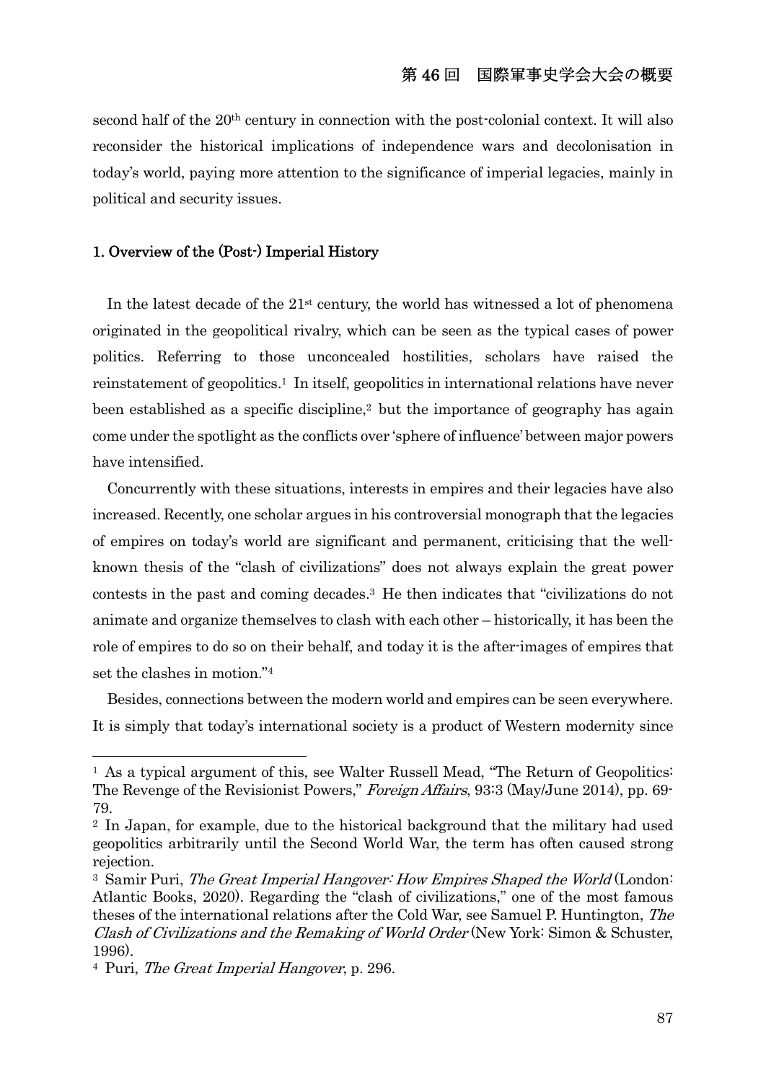second half of the 20th century in connection with the post-colonial context. It will also reconsider the historical implications of independence wars and decolonisation in today's world, paying more attention to the significance of imperial legacies, mainly in political and security issues.

#### 1. Overview of the (Post-) Imperial History

In the latest decade of the  $21<sup>st</sup>$  century, the world has witnessed a lot of phenomena originated in the geopolitical rivalry, which can be seen as the typical cases of power politics. Referring to those unconcealed hostilities, scholars have raised the reinstatement of geopolitics.1 In itself, geopolitics in international relations have never been established as a specific discipline,<sup>2</sup> but the importance of geography has again come under the spotlight as the conflicts over 'sphere of influence' between major powers have intensified.

 Concurrently with these situations, interests in empires and their legacies have also increased. Recently, one scholar argues in his controversial monograph that the legacies of empires on today's world are significant and permanent, criticising that the wellknown thesis of the "clash of civilizations" does not always explain the great power contests in the past and coming decades.3 He then indicates that "civilizations do not animate and organize themselves to clash with each other – historically, it has been the role of empires to do so on their behalf, and today it is the after-images of empires that set the clashes in motion."4

 Besides, connections between the modern world and empires can be seen everywhere. It is simply that today's international society is a product of Western modernity since

<sup>&</sup>lt;sup>1</sup> As a typical argument of this, see Walter Russell Mead, "The Return of Geopolitics: The Revenge of the Revisionist Powers," Foreign Affairs, 93:3 (May/June 2014), pp. 69- 79.

<sup>2</sup> In Japan, for example, due to the historical background that the military had used geopolitics arbitrarily until the Second World War, the term has often caused strong rejection.

<sup>&</sup>lt;sup>3</sup> Samir Puri, *The Great Imperial Hangover: How Empires Shaped the World* (London: Atlantic Books, 2020). Regarding the "clash of civilizations," one of the most famous theses of the international relations after the Cold War, see Samuel P. Huntington, The Clash of Civilizations and the Remaking of World Order (New York: Simon & Schuster, 1996).

<sup>4</sup> Puri, The Great Imperial Hangover, p. 296.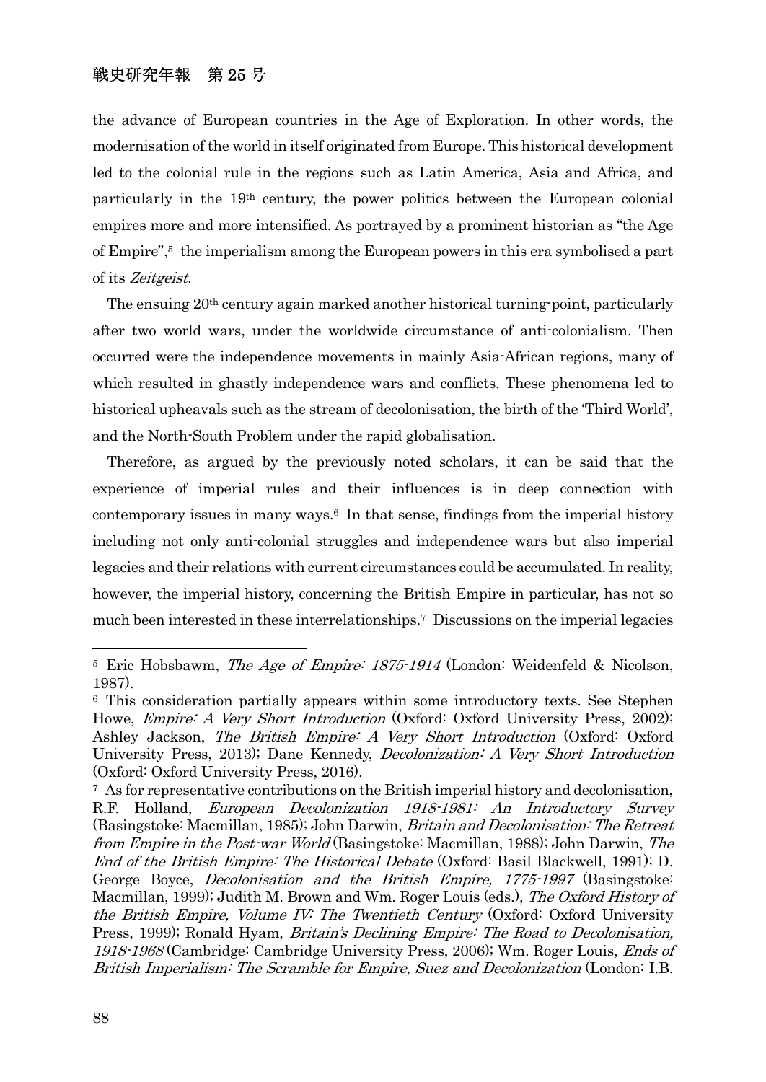the advance of European countries in the Age of Exploration. In other words, the modernisation of the world in itself originated from Europe. This historical development led to the colonial rule in the regions such as Latin America, Asia and Africa, and particularly in the 19th century, the power politics between the European colonial empires more and more intensified. As portrayed by a prominent historian as "the Age of Empire",5 the imperialism among the European powers in this era symbolised a part of its Zeitgeist.

 The ensuing 20th century again marked another historical turning-point, particularly after two world wars, under the worldwide circumstance of anti-colonialism. Then occurred were the independence movements in mainly Asia-African regions, many of which resulted in ghastly independence wars and conflicts. These phenomena led to historical upheavals such as the stream of decolonisation, the birth of the 'Third World', and the North-South Problem under the rapid globalisation.

 Therefore, as argued by the previously noted scholars, it can be said that the experience of imperial rules and their influences is in deep connection with contemporary issues in many ways.6 In that sense, findings from the imperial history including not only anti-colonial struggles and independence wars but also imperial legacies and their relations with current circumstances could be accumulated. In reality, however, the imperial history, concerning the British Empire in particular, has not so much been interested in these interrelationships.7 Discussions on the imperial legacies

<sup>&</sup>lt;sup>5</sup> Eric Hobsbawm, *The Age of Empire: 1875-1914* (London: Weidenfeld & Nicolson, 1987).

<sup>6</sup> This consideration partially appears within some introductory texts. See Stephen Howe, *Empire: A Very Short Introduction* (Oxford: Oxford University Press, 2002); Ashley Jackson, The British Empire: A Very Short Introduction (Oxford: Oxford University Press, 2013); Dane Kennedy, *Decolonization: A Very Short Introduction* (Oxford: Oxford University Press, 2016).

<sup>7</sup> As for representative contributions on the British imperial history and decolonisation, R.F. Holland, European Decolonization 1918-1981: An Introductory Survey (Basingstoke: Macmillan, 1985); John Darwin, Britain and Decolonisation: The Retreat from Empire in the Post-war World (Basingstoke: Macmillan, 1988); John Darwin, The End of the British Empire: The Historical Debate (Oxford: Basil Blackwell, 1991); D. George Boyce, Decolonisation and the British Empire, 1775-1997 (Basingstoke: Macmillan, 1999); Judith M. Brown and Wm. Roger Louis (eds.), The Oxford History of the British Empire, Volume IV: The Twentieth Century (Oxford: Oxford University Press, 1999); Ronald Hyam, *Britain's Declining Empire: The Road to Decolonisation*, 1918-1968 (Cambridge: Cambridge University Press, 2006); Wm. Roger Louis, *Ends of* British Imperialism: The Scramble for Empire, Suez and Decolonization (London: I.B.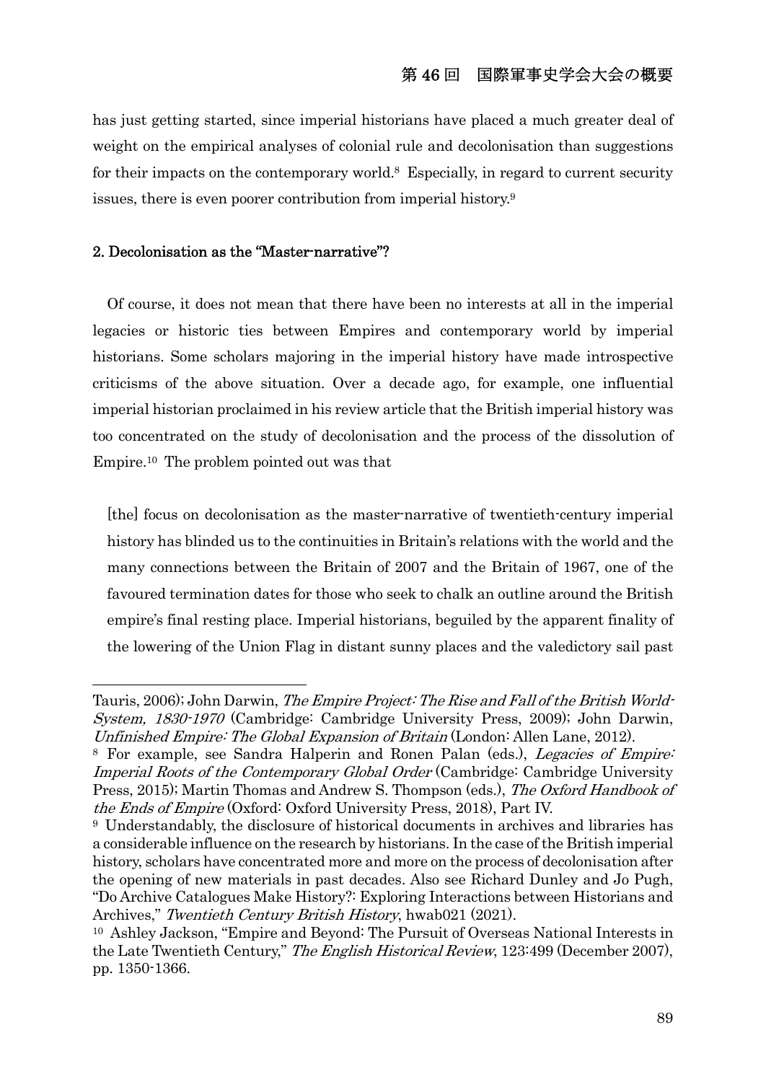### 第 46 回 国際軍事史学会大会の概要

has just getting started, since imperial historians have placed a much greater deal of weight on the empirical analyses of colonial rule and decolonisation than suggestions for their impacts on the contemporary world.<sup>8</sup> Especially, in regard to current security issues, there is even poorer contribution from imperial history.9

#### 2. Decolonisation as the "Master-narrative"?

 Of course, it does not mean that there have been no interests at all in the imperial legacies or historic ties between Empires and contemporary world by imperial historians. Some scholars majoring in the imperial history have made introspective criticisms of the above situation. Over a decade ago, for example, one influential imperial historian proclaimed in his review article that the British imperial history was too concentrated on the study of decolonisation and the process of the dissolution of Empire.10 The problem pointed out was that

[the] focus on decolonisation as the master-narrative of twentieth-century imperial history has blinded us to the continuities in Britain's relations with the world and the many connections between the Britain of 2007 and the Britain of 1967, one of the favoured termination dates for those who seek to chalk an outline around the British empire's final resting place. Imperial historians, beguiled by the apparent finality of the lowering of the Union Flag in distant sunny places and the valedictory sail past

Tauris, 2006); John Darwin, The Empire Project: The Rise and Fall of the British World-System, 1830-1970 (Cambridge: Cambridge University Press, 2009); John Darwin, Unfinished Empire: The Global Expansion of Britain (London: Allen Lane, 2012).

<sup>8</sup> For example, see Sandra Halperin and Ronen Palan (eds.), Legacies of Empire: Imperial Roots of the Contemporary Global Order (Cambridge: Cambridge University Press, 2015); Martin Thomas and Andrew S. Thompson (eds.), The Oxford Handbook of the Ends of Empire (Oxford: Oxford University Press, 2018), Part IV.

<sup>9</sup> Understandably, the disclosure of historical documents in archives and libraries has a considerable influence on the research by historians. In the case of the British imperial history, scholars have concentrated more and more on the process of decolonisation after the opening of new materials in past decades. Also see Richard Dunley and Jo Pugh, "Do Archive Catalogues Make History?: Exploring Interactions between Historians and Archives," Twentieth Century British History, hwab021 (2021).

<sup>10</sup> Ashley Jackson, "Empire and Beyond: The Pursuit of Overseas National Interests in the Late Twentieth Century," The English Historical Review, 123:499 (December 2007), pp. 1350-1366.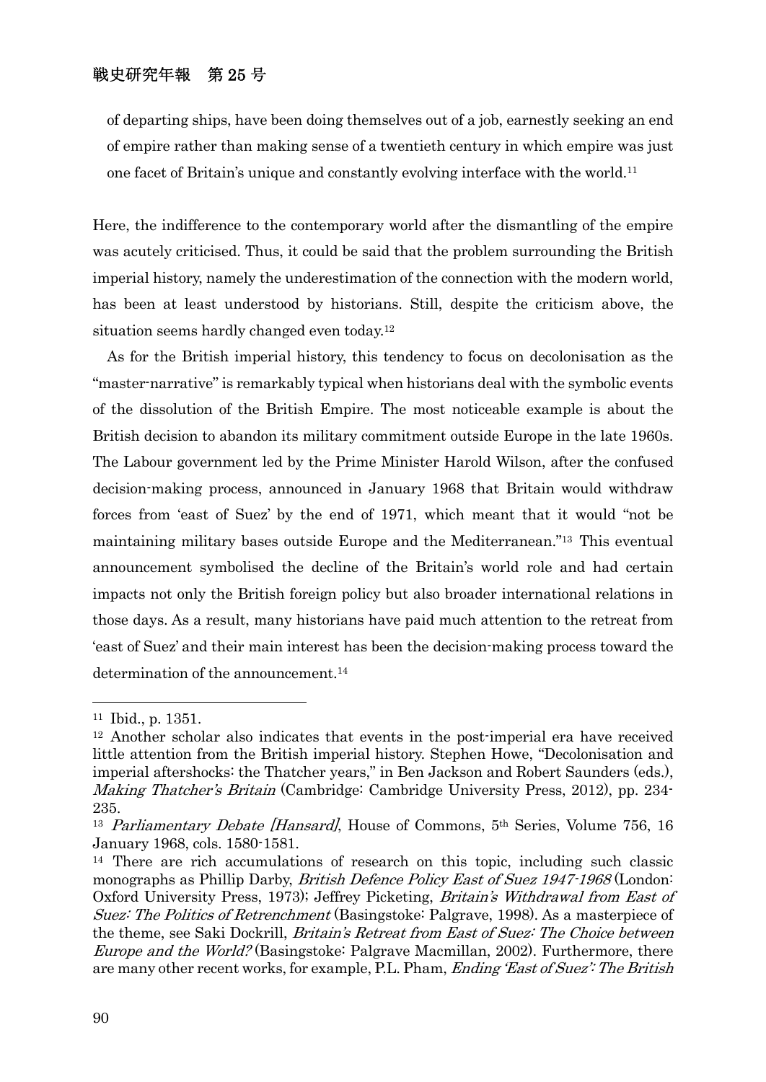of departing ships, have been doing themselves out of a job, earnestly seeking an end of empire rather than making sense of a twentieth century in which empire was just one facet of Britain's unique and constantly evolving interface with the world.11

Here, the indifference to the contemporary world after the dismantling of the empire was acutely criticised. Thus, it could be said that the problem surrounding the British imperial history, namely the underestimation of the connection with the modern world, has been at least understood by historians. Still, despite the criticism above, the situation seems hardly changed even today.12

 As for the British imperial history, this tendency to focus on decolonisation as the "master-narrative" is remarkably typical when historians deal with the symbolic events of the dissolution of the British Empire. The most noticeable example is about the British decision to abandon its military commitment outside Europe in the late 1960s. The Labour government led by the Prime Minister Harold Wilson, after the confused decision-making process, announced in January 1968 that Britain would withdraw forces from 'east of Suez' by the end of 1971, which meant that it would "not be maintaining military bases outside Europe and the Mediterranean."13 This eventual announcement symbolised the decline of the Britain's world role and had certain impacts not only the British foreign policy but also broader international relations in those days. As a result, many historians have paid much attention to the retreat from 'east of Suez' and their main interest has been the decision-making process toward the determination of the announcement.<sup>14</sup>

<sup>11</sup> Ibid., p. 1351.

<sup>12</sup> Another scholar also indicates that events in the post-imperial era have received little attention from the British imperial history. Stephen Howe, "Decolonisation and imperial aftershocks: the Thatcher years," in Ben Jackson and Robert Saunders (eds.), Making Thatcher's Britain (Cambridge: Cambridge University Press, 2012), pp. 234- 235.

<sup>&</sup>lt;sup>13</sup> Parliamentary Debate [Hansard], House of Commons,  $5<sup>th</sup>$  Series, Volume 756, 16 January 1968, cols. 1580-1581.

<sup>14</sup> There are rich accumulations of research on this topic, including such classic monographs as Phillip Darby, *British Defence Policy East of Suez 1947-1968* (London: Oxford University Press, 1973); Jeffrey Picketing, Britain's Withdrawal from East of Suez: The Politics of Retrenchment (Basingstoke: Palgrave, 1998). As a masterpiece of the theme, see Saki Dockrill, Britain's Retreat from East of Suez: The Choice between Europe and the World? (Basingstoke: Palgrave Macmillan, 2002). Furthermore, there are many other recent works, for example, P.L. Pham, *Ending 'East of Suez': The British*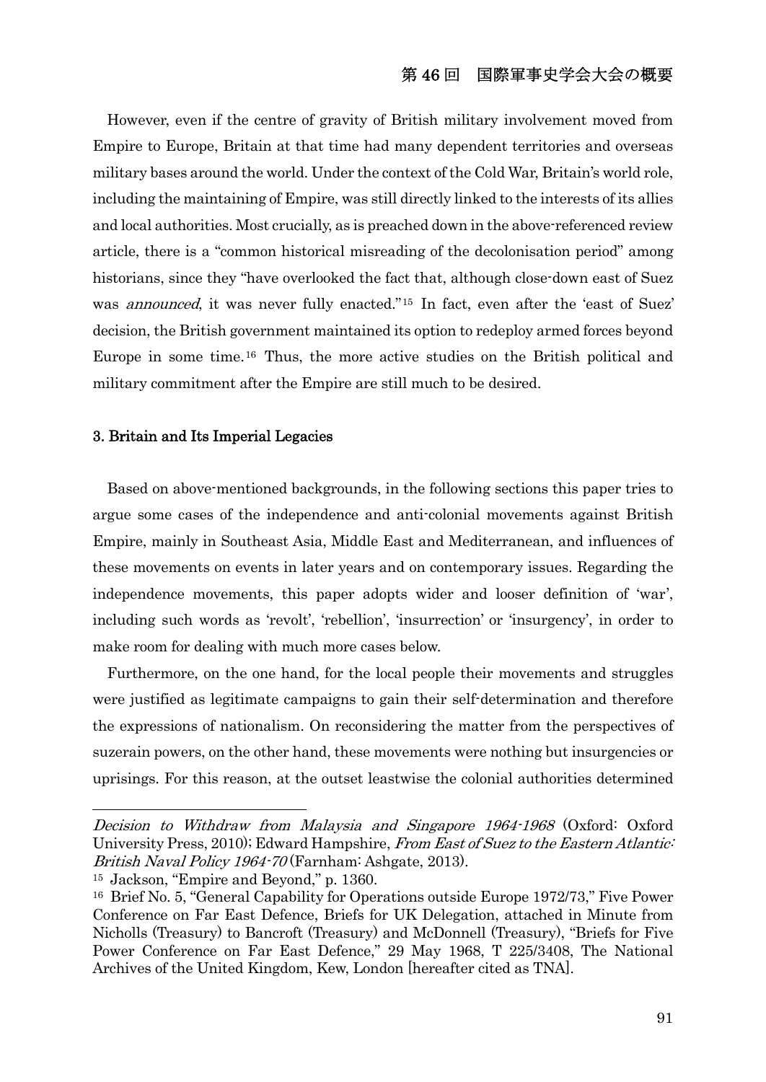However, even if the centre of gravity of British military involvement moved from Empire to Europe, Britain at that time had many dependent territories and overseas military bases around the world. Under the context of the Cold War, Britain's world role, including the maintaining of Empire, was still directly linked to the interests of its allies and local authorities. Most crucially, as is preached down in the above-referenced review article, there is a "common historical misreading of the decolonisation period" among historians, since they "have overlooked the fact that, although close-down east of Suez was *announced*, it was never fully enacted."<sup>15</sup> In fact, even after the 'east of Suez' decision, the British government maintained its option to redeploy armed forces beyond Europe in some time.16 Thus, the more active studies on the British political and military commitment after the Empire are still much to be desired.

#### 3. Britain and Its Imperial Legacies

 Based on above-mentioned backgrounds, in the following sections this paper tries to argue some cases of the independence and anti-colonial movements against British Empire, mainly in Southeast Asia, Middle East and Mediterranean, and influences of these movements on events in later years and on contemporary issues. Regarding the independence movements, this paper adopts wider and looser definition of 'war', including such words as 'revolt', 'rebellion', 'insurrection' or 'insurgency', in order to make room for dealing with much more cases below.

 Furthermore, on the one hand, for the local people their movements and struggles were justified as legitimate campaigns to gain their self-determination and therefore the expressions of nationalism. On reconsidering the matter from the perspectives of suzerain powers, on the other hand, these movements were nothing but insurgencies or uprisings. For this reason, at the outset leastwise the colonial authorities determined

Decision to Withdraw from Malaysia and Singapore 1964-1968 (Oxford: Oxford University Press, 2010); Edward Hampshire, From East of Suez to the Eastern Atlantic-British Naval Policy 1964-70 (Farnham: Ashgate, 2013).

<sup>15</sup> Jackson, "Empire and Beyond," p. 1360.

<sup>&</sup>lt;sup>16</sup> Brief No. 5, "General Capability for Operations outside Europe 1972/73," Five Power Conference on Far East Defence, Briefs for UK Delegation, attached in Minute from Nicholls (Treasury) to Bancroft (Treasury) and McDonnell (Treasury), "Briefs for Five Power Conference on Far East Defence," 29 May 1968, T 225/3408, The National Archives of the United Kingdom, Kew, London [hereafter cited as TNA].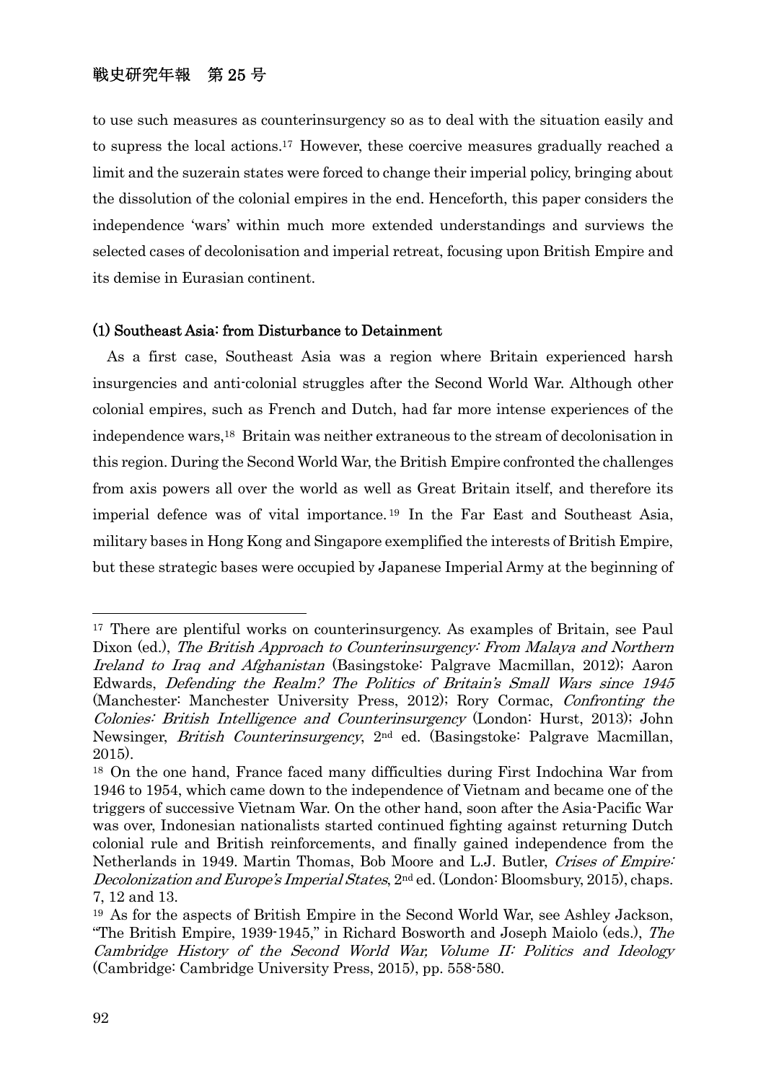to use such measures as counterinsurgency so as to deal with the situation easily and to supress the local actions.17 However, these coercive measures gradually reached a limit and the suzerain states were forced to change their imperial policy, bringing about the dissolution of the colonial empires in the end. Henceforth, this paper considers the independence 'wars' within much more extended understandings and surviews the selected cases of decolonisation and imperial retreat, focusing upon British Empire and its demise in Eurasian continent.

#### (1) Southeast Asia: from Disturbance to Detainment

 As a first case, Southeast Asia was a region where Britain experienced harsh insurgencies and anti-colonial struggles after the Second World War. Although other colonial empires, such as French and Dutch, had far more intense experiences of the independence wars,18 Britain was neither extraneous to the stream of decolonisation in this region. During the Second World War, the British Empire confronted the challenges from axis powers all over the world as well as Great Britain itself, and therefore its imperial defence was of vital importance. 19 In the Far East and Southeast Asia, military bases in Hong Kong and Singapore exemplified the interests of British Empire, but these strategic bases were occupied by Japanese Imperial Army at the beginning of

<sup>17</sup> There are plentiful works on counterinsurgency. As examples of Britain, see Paul Dixon (ed.), The British Approach to Counterinsurgency: From Malaya and Northern Ireland to Iraq and Afghanistan (Basingstoke: Palgrave Macmillan, 2012); Aaron Edwards, Defending the Realm? The Politics of Britain's Small Wars since 1945 (Manchester: Manchester University Press, 2012); Rory Cormac, Confronting the Colonies: British Intelligence and Counterinsurgency (London: Hurst, 2013); John Newsinger, British Counterinsurgency, 2nd ed. (Basingstoke: Palgrave Macmillan, 2015).

<sup>18</sup> On the one hand, France faced many difficulties during First Indochina War from 1946 to 1954, which came down to the independence of Vietnam and became one of the triggers of successive Vietnam War. On the other hand, soon after the Asia-Pacific War was over, Indonesian nationalists started continued fighting against returning Dutch colonial rule and British reinforcements, and finally gained independence from the Netherlands in 1949. Martin Thomas, Bob Moore and L.J. Butler, Crises of Empire: *Decolonization and Europe's Imperial States*,  $2<sup>nd</sup>$  ed. (London: Bloomsbury, 2015), chaps. 7, 12 and 13.

<sup>19</sup> As for the aspects of British Empire in the Second World War, see Ashley Jackson, "The British Empire, 1939-1945," in Richard Bosworth and Joseph Maiolo (eds.), The Cambridge History of the Second World War, Volume II: Politics and Ideology (Cambridge: Cambridge University Press, 2015), pp. 558-580.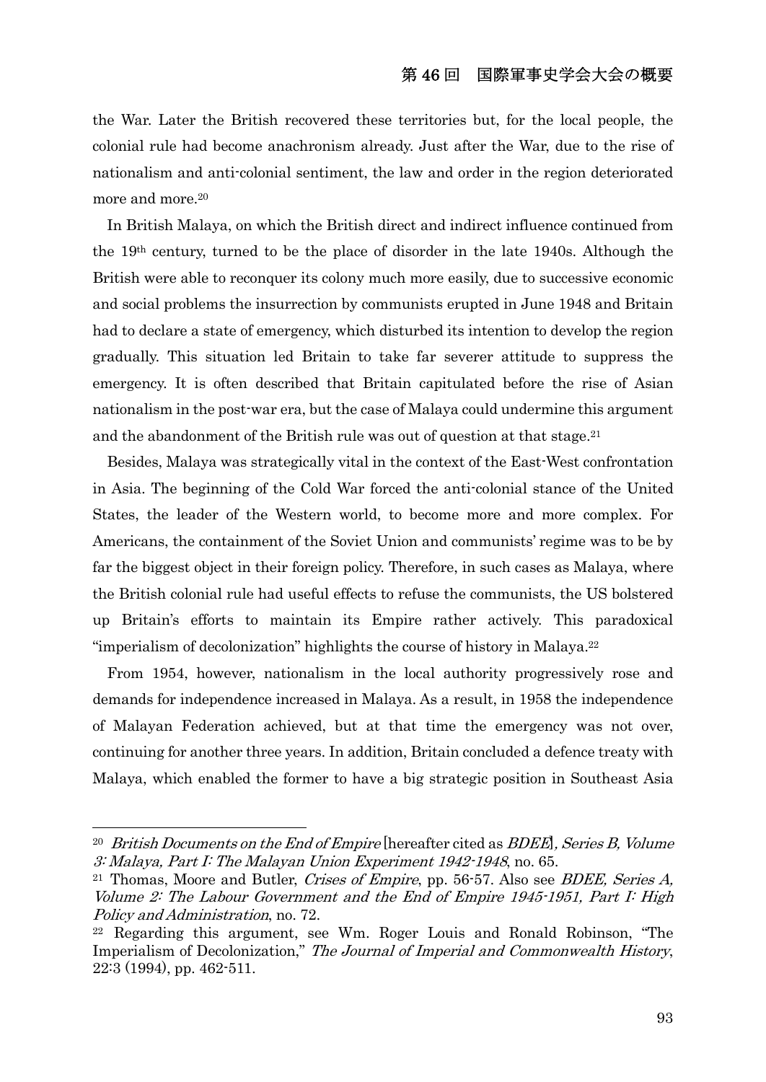the War. Later the British recovered these territories but, for the local people, the colonial rule had become anachronism already. Just after the War, due to the rise of nationalism and anti-colonial sentiment, the law and order in the region deteriorated more and more.20

 In British Malaya, on which the British direct and indirect influence continued from the 19th century, turned to be the place of disorder in the late 1940s. Although the British were able to reconquer its colony much more easily, due to successive economic and social problems the insurrection by communists erupted in June 1948 and Britain had to declare a state of emergency, which disturbed its intention to develop the region gradually. This situation led Britain to take far severer attitude to suppress the emergency. It is often described that Britain capitulated before the rise of Asian nationalism in the post-war era, but the case of Malaya could undermine this argument and the abandonment of the British rule was out of question at that stage.<sup>21</sup>

 Besides, Malaya was strategically vital in the context of the East-West confrontation in Asia. The beginning of the Cold War forced the anti-colonial stance of the United States, the leader of the Western world, to become more and more complex. For Americans, the containment of the Soviet Union and communists' regime was to be by far the biggest object in their foreign policy. Therefore, in such cases as Malaya, where the British colonial rule had useful effects to refuse the communists, the US bolstered up Britain's efforts to maintain its Empire rather actively. This paradoxical "imperialism of decolonization" highlights the course of history in Malaya.22

 From 1954, however, nationalism in the local authority progressively rose and demands for independence increased in Malaya. As a result, in 1958 the independence of Malayan Federation achieved, but at that time the emergency was not over, continuing for another three years. In addition, Britain concluded a defence treaty with Malaya, which enabled the former to have a big strategic position in Southeast Asia

<sup>&</sup>lt;sup>20</sup> British Documents on the End of Empire [hereafter cited as BDEE], Series B, Volume 3: Malaya, Part I: The Malayan Union Experiment 1942-1948, no. 65.<br><sup>21</sup> Thomas, Moore and Butler, *Crises of Empire*, pp. 56-57. Also see *BDEE, Series A*,

Volume 2: The Labour Government and the End of Empire 1945-1951, Part I: High Policy and Administration, no. 72.<br><sup>22</sup> Regarding this argument, see Wm. Roger Louis and Ronald Robinson, "The

Imperialism of Decolonization," The Journal of Imperial and Commonwealth History, 22:3 (1994), pp. 462-511.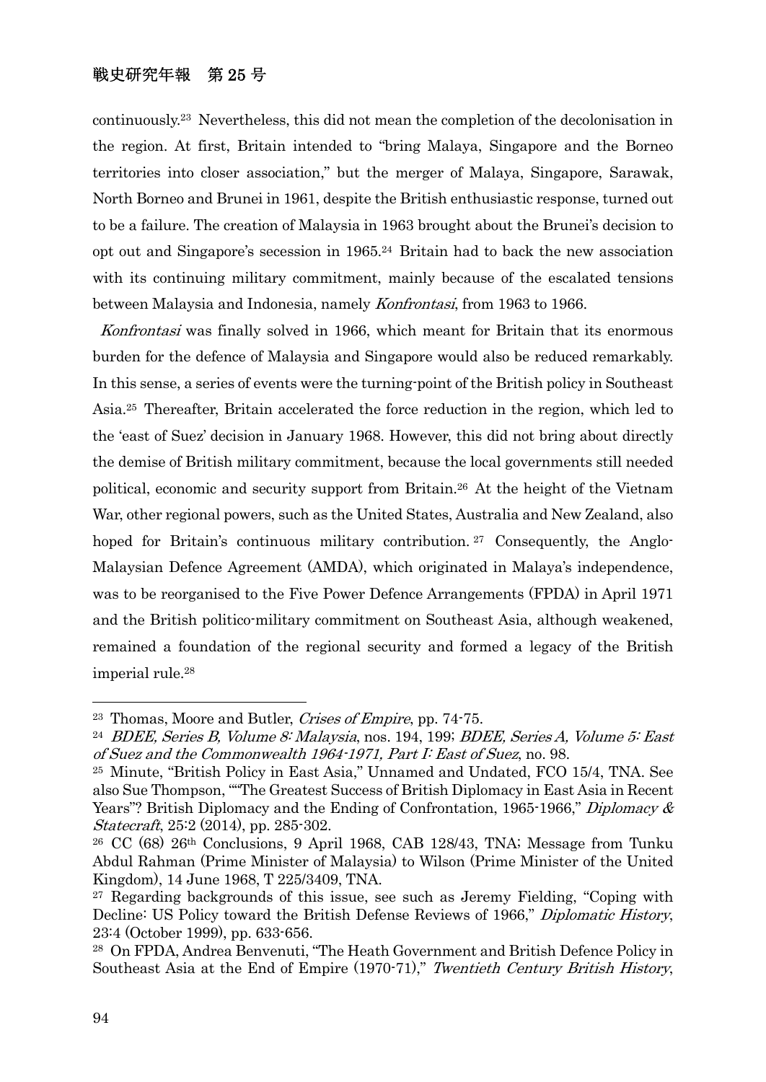continuously.23 Nevertheless, this did not mean the completion of the decolonisation in the region. At first, Britain intended to "bring Malaya, Singapore and the Borneo territories into closer association," but the merger of Malaya, Singapore, Sarawak, North Borneo and Brunei in 1961, despite the British enthusiastic response, turned out to be a failure. The creation of Malaysia in 1963 brought about the Brunei's decision to opt out and Singapore's secession in 1965.24 Britain had to back the new association with its continuing military commitment, mainly because of the escalated tensions between Malaysia and Indonesia, namely Konfrontasi, from 1963 to 1966.

Konfrontasi was finally solved in 1966, which meant for Britain that its enormous burden for the defence of Malaysia and Singapore would also be reduced remarkably. In this sense, a series of events were the turning-point of the British policy in Southeast Asia.25 Thereafter, Britain accelerated the force reduction in the region, which led to the 'east of Suez' decision in January 1968. However, this did not bring about directly the demise of British military commitment, because the local governments still needed political, economic and security support from Britain.26 At the height of the Vietnam War, other regional powers, such as the United States, Australia and New Zealand, also hoped for Britain's continuous military contribution.<sup>27</sup> Consequently, the Anglo-Malaysian Defence Agreement (AMDA), which originated in Malaya's independence, was to be reorganised to the Five Power Defence Arrangements (FPDA) in April 1971 and the British politico-military commitment on Southeast Asia, although weakened, remained a foundation of the regional security and formed a legacy of the British imperial rule.28

<sup>&</sup>lt;sup>23</sup> Thomas, Moore and Butler, *Crises of Empire*, pp. 74-75.<br><sup>24</sup> BDEE, Series B, Volume 8: Malaysia, nos. 194, 199; BDEE, Series A, Volume 5: East of Suez and the Commonwealth 1964-1971, Part I: East of Suez, no. 98.

<sup>25</sup> Minute, "British Policy in East Asia," Unnamed and Undated, FCO 15/4, TNA. See also Sue Thompson, ""The Greatest Success of British Diplomacy in East Asia in Recent Years"? British Diplomacy and the Ending of Confrontation, 1965-1966," Diplomacy  $\&$ Statecraft, 25:2 (2014), pp. 285-302.

<sup>&</sup>lt;sup>26</sup> CC (68) 26<sup>th</sup> Conclusions, 9 April 1968, CAB 128/43, TNA; Message from Tunku Abdul Rahman (Prime Minister of Malaysia) to Wilson (Prime Minister of the United Kingdom), 14 June 1968, T 225/3409, TNA.

<sup>27</sup> Regarding backgrounds of this issue, see such as Jeremy Fielding, "Coping with Decline: US Policy toward the British Defense Reviews of 1966," Diplomatic History, 23:4 (October 1999), pp. 633-656.

<sup>28</sup> On FPDA, Andrea Benvenuti, "The Heath Government and British Defence Policy in Southeast Asia at the End of Empire (1970-71)," Twentieth Century British History,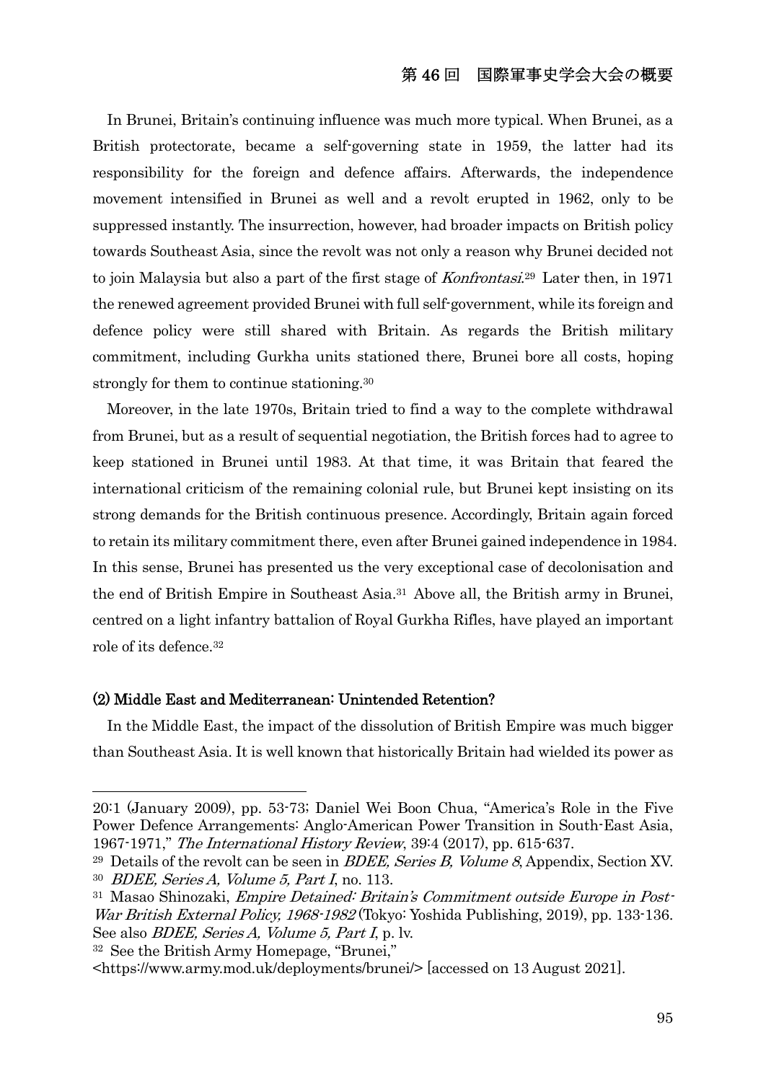### 第 46 回 国際軍事史学会大会の概要

 In Brunei, Britain's continuing influence was much more typical. When Brunei, as a British protectorate, became a self-governing state in 1959, the latter had its responsibility for the foreign and defence affairs. Afterwards, the independence movement intensified in Brunei as well and a revolt erupted in 1962, only to be suppressed instantly. The insurrection, however, had broader impacts on British policy towards Southeast Asia, since the revolt was not only a reason why Brunei decided not to join Malaysia but also a part of the first stage of Konfrontasi.29 Later then, in 1971 the renewed agreement provided Brunei with full self-government, while its foreign and defence policy were still shared with Britain. As regards the British military commitment, including Gurkha units stationed there, Brunei bore all costs, hoping strongly for them to continue stationing.<sup>30</sup>

 Moreover, in the late 1970s, Britain tried to find a way to the complete withdrawal from Brunei, but as a result of sequential negotiation, the British forces had to agree to keep stationed in Brunei until 1983. At that time, it was Britain that feared the international criticism of the remaining colonial rule, but Brunei kept insisting on its strong demands for the British continuous presence. Accordingly, Britain again forced to retain its military commitment there, even after Brunei gained independence in 1984. In this sense, Brunei has presented us the very exceptional case of decolonisation and the end of British Empire in Southeast Asia.31 Above all, the British army in Brunei, centred on a light infantry battalion of Royal Gurkha Rifles, have played an important role of its defence.32

#### (2) Middle East and Mediterranean: Unintended Retention?

 In the Middle East, the impact of the dissolution of British Empire was much bigger than Southeast Asia. It is well known that historically Britain had wielded its power as

32 See the British Army Homepage, "Brunei,"

<sup>20:1 (</sup>January 2009), pp. 53-73; Daniel Wei Boon Chua, "America's Role in the Five Power Defence Arrangements: Anglo-American Power Transition in South-East Asia, 1967-1971," The International History Review, 39:4 (2017), pp. 615-637.

<sup>&</sup>lt;sup>29</sup> Details of the revolt can be seen in *BDEE, Series B, Volume 8*, Appendix, Section XV. <sup>30</sup> BDEE, Series A, Volume 5, Part I, no. 113.

<sup>31</sup> Masao Shinozaki, Empire Detained: Britain's Commitment outside Europe in Post-War British External Policy, 1968-1982 (Tokyo: Yoshida Publishing, 2019), pp. 133-136. See also *BDEE, Series A, Volume 5, Part I*, p. lv.

<sup>&</sup>lt;https://www.army.mod.uk/deployments/brunei/> [accessed on 13 August 2021].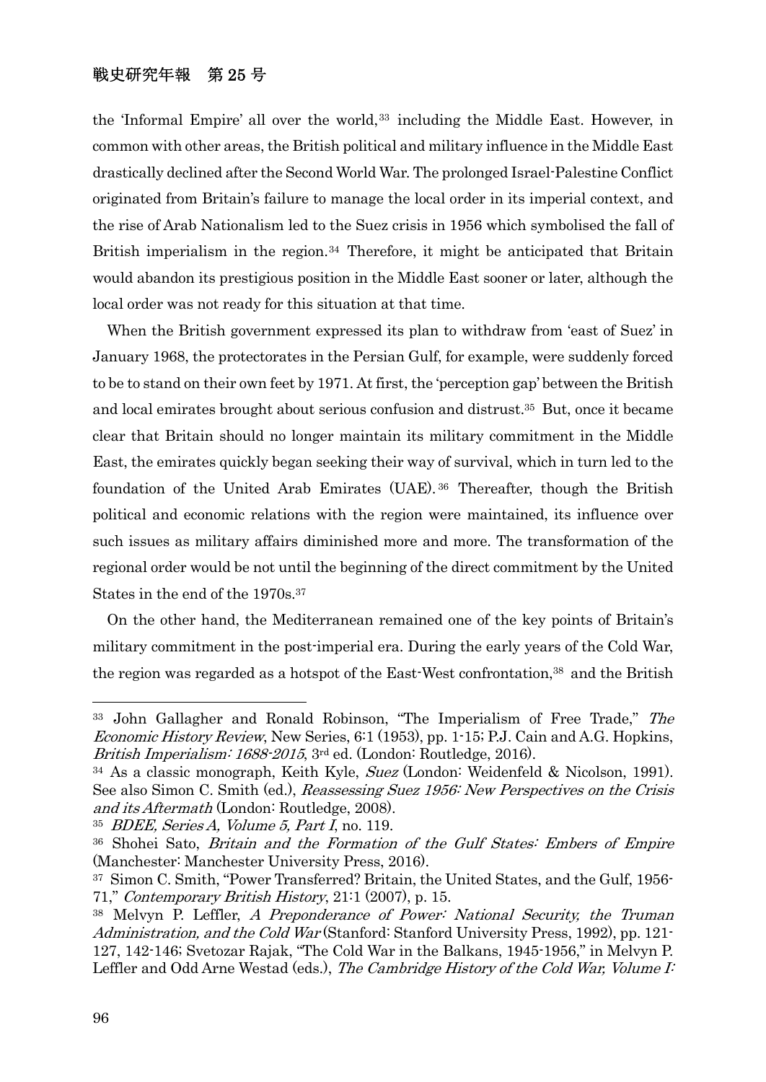the 'Informal Empire' all over the world,33 including the Middle East. However, in common with other areas, the British political and military influence in the Middle East drastically declined after the Second World War. The prolonged Israel-Palestine Conflict originated from Britain's failure to manage the local order in its imperial context, and the rise of Arab Nationalism led to the Suez crisis in 1956 which symbolised the fall of British imperialism in the region.<sup>34</sup> Therefore, it might be anticipated that Britain would abandon its prestigious position in the Middle East sooner or later, although the local order was not ready for this situation at that time.

 When the British government expressed its plan to withdraw from 'east of Suez' in January 1968, the protectorates in the Persian Gulf, for example, were suddenly forced to be to stand on their own feet by 1971. At first, the 'perception gap' between the British and local emirates brought about serious confusion and distrust.35 But, once it became clear that Britain should no longer maintain its military commitment in the Middle East, the emirates quickly began seeking their way of survival, which in turn led to the foundation of the United Arab Emirates (UAE). 36 Thereafter, though the British political and economic relations with the region were maintained, its influence over such issues as military affairs diminished more and more. The transformation of the regional order would be not until the beginning of the direct commitment by the United States in the end of the 1970s.37

 On the other hand, the Mediterranean remained one of the key points of Britain's military commitment in the post-imperial era. During the early years of the Cold War, the region was regarded as a hotspot of the East-West confrontation,<sup>38</sup> and the British

<sup>&</sup>lt;sup>33</sup> John Gallagher and Ronald Robinson, "The Imperialism of Free Trade," The Economic History Review, New Series, 6:1 (1953), pp. 1-15; P.J. Cain and A.G. Hopkins, British Imperialism: 1688-2015, 3<sup>rd</sup> ed. (London: Routledge, 2016).

 $34$  As a classic monograph, Keith Kyle, Suez (London: Weidenfeld & Nicolson, 1991). See also Simon C. Smith (ed.), Reassessing Suez 1956: New Perspectives on the Crisis and its Aftermath (London: Routledge, 2008).

 $35$  BDEE, Series A, Volume 5, Part I, no. 119.

<sup>&</sup>lt;sup>36</sup> Shohei Sato, *Britain and the Formation of the Gulf States: Embers of Empire* (Manchester: Manchester University Press, 2016).

<sup>37</sup> Simon C. Smith, "Power Transferred? Britain, the United States, and the Gulf, 1956- 71," Contemporary British History, 21:1 (2007), p. 15.

<sup>&</sup>lt;sup>38</sup> Melvyn P. Leffler, A Preponderance of Power: National Security, the Truman Administration, and the Cold War (Stanford: Stanford University Press, 1992), pp. 121- 127, 142-146; Svetozar Rajak, "The Cold War in the Balkans, 1945-1956," in Melvyn P. Leffler and Odd Arne Westad (eds.), The Cambridge History of the Cold War, Volume I: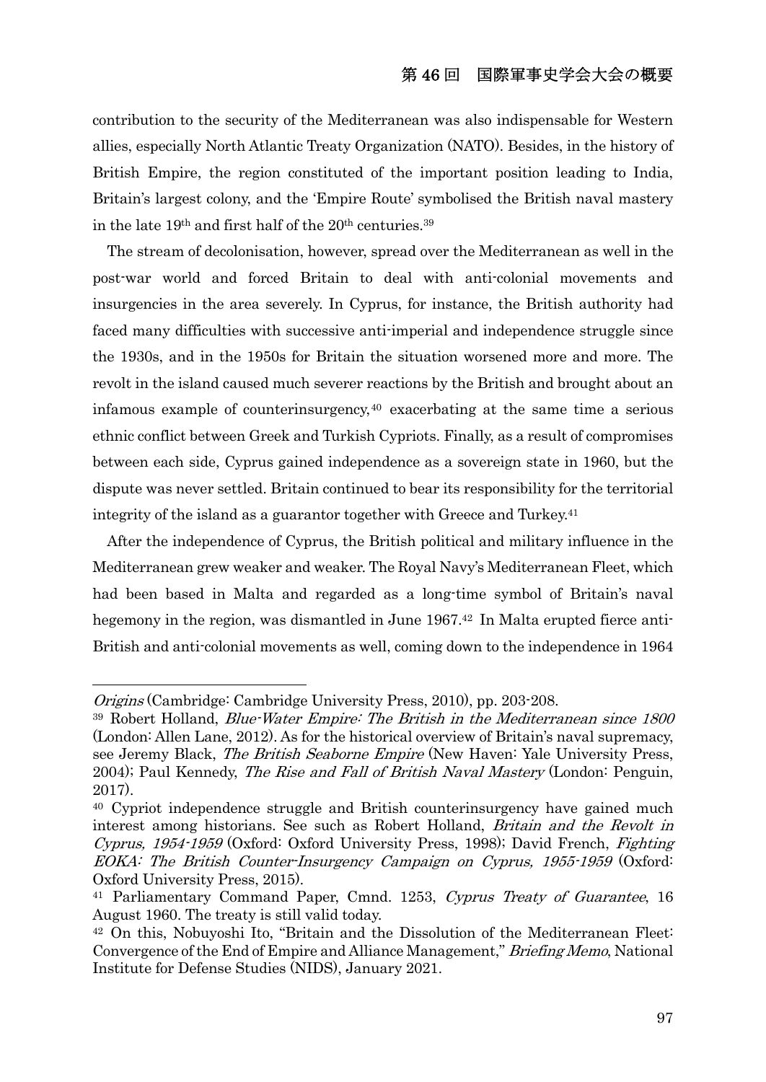contribution to the security of the Mediterranean was also indispensable for Western allies, especially North Atlantic Treaty Organization (NATO). Besides, in the history of British Empire, the region constituted of the important position leading to India, Britain's largest colony, and the 'Empire Route' symbolised the British naval mastery in the late 19<sup>th</sup> and first half of the 20<sup>th</sup> centuries.<sup>39</sup>

 The stream of decolonisation, however, spread over the Mediterranean as well in the post-war world and forced Britain to deal with anti-colonial movements and insurgencies in the area severely. In Cyprus, for instance, the British authority had faced many difficulties with successive anti-imperial and independence struggle since the 1930s, and in the 1950s for Britain the situation worsened more and more. The revolt in the island caused much severer reactions by the British and brought about an infamous example of counterinsurgency,40 exacerbating at the same time a serious ethnic conflict between Greek and Turkish Cypriots. Finally, as a result of compromises between each side, Cyprus gained independence as a sovereign state in 1960, but the dispute was never settled. Britain continued to bear its responsibility for the territorial integrity of the island as a guarantor together with Greece and Turkey.41

 After the independence of Cyprus, the British political and military influence in the Mediterranean grew weaker and weaker. The Royal Navy's Mediterranean Fleet, which had been based in Malta and regarded as a long-time symbol of Britain's naval hegemony in the region, was dismantled in June 1967.42 In Malta erupted fierce anti-British and anti-colonial movements as well, coming down to the independence in 1964

Origins (Cambridge: Cambridge University Press, 2010), pp. 203-208.

<sup>39</sup> Robert Holland, Blue-Water Empire: The British in the Mediterranean since 1800 (London: Allen Lane, 2012). As for the historical overview of Britain's naval supremacy, see Jeremy Black, The British Seaborne Empire (New Haven: Yale University Press, 2004); Paul Kennedy, The Rise and Fall of British Naval Mastery (London: Penguin, 2017).

<sup>40</sup> Cypriot independence struggle and British counterinsurgency have gained much interest among historians. See such as Robert Holland, Britain and the Revolt in Cyprus, 1954-1959 (Oxford: Oxford University Press, 1998); David French, Fighting EOKA: The British Counter-Insurgency Campaign on Cyprus, 1955-1959 (Oxford: Oxford University Press, 2015).

<sup>&</sup>lt;sup>41</sup> Parliamentary Command Paper, Cmnd. 1253, Cyprus Treaty of Guarantee, 16 August 1960. The treaty is still valid today.

<sup>42</sup> On this, Nobuyoshi Ito, "Britain and the Dissolution of the Mediterranean Fleet: Convergence of the End of Empire and Alliance Management," Briefing Memo, National Institute for Defense Studies (NIDS), January 2021.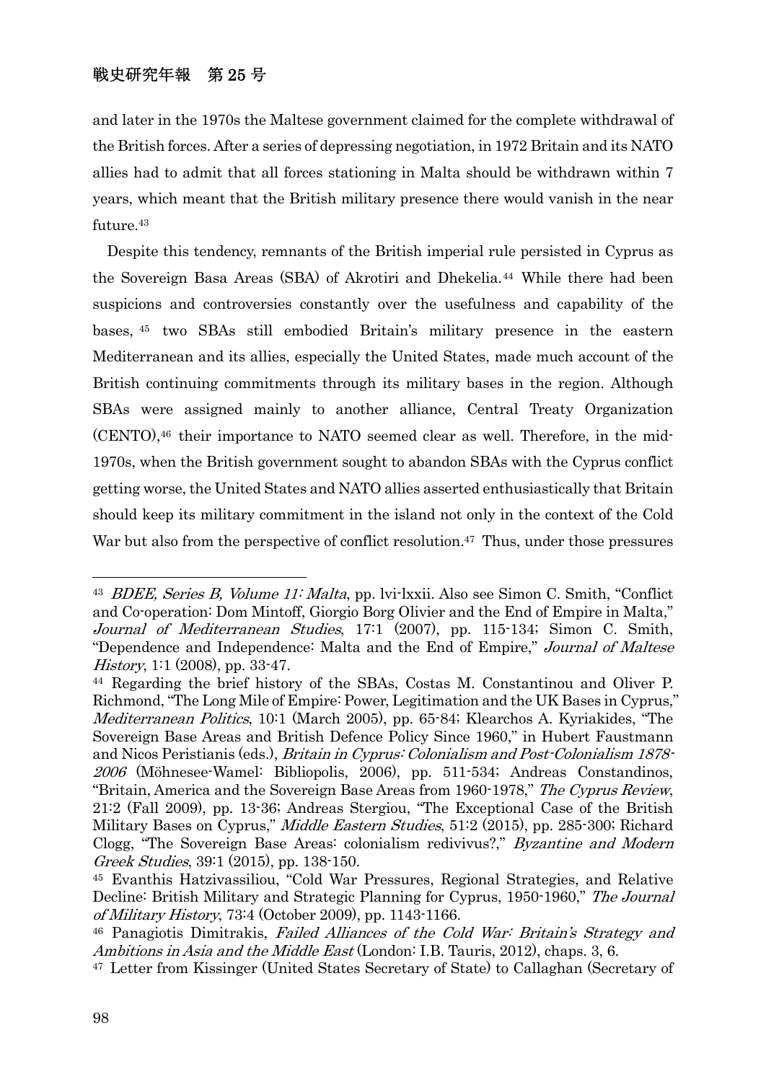and later in the 1970s the Maltese government claimed for the complete withdrawal of the British forces. After a series of depressing negotiation, in 1972 Britain and its NATO allies had to admit that all forces stationing in Malta should be withdrawn within 7 years, which meant that the British military presence there would vanish in the near future.43

 Despite this tendency, remnants of the British imperial rule persisted in Cyprus as the Sovereign Basa Areas (SBA) of Akrotiri and Dhekelia.44 While there had been suspicions and controversies constantly over the usefulness and capability of the bases, 45 two SBAs still embodied Britain's military presence in the eastern Mediterranean and its allies, especially the United States, made much account of the British continuing commitments through its military bases in the region. Although SBAs were assigned mainly to another alliance, Central Treaty Organization (CENTO),46 their importance to NATO seemed clear as well. Therefore, in the mid-1970s, when the British government sought to abandon SBAs with the Cyprus conflict getting worse, the United States and NATO allies asserted enthusiastically that Britain should keep its military commitment in the island not only in the context of the Cold War but also from the perspective of conflict resolution.<sup>47</sup> Thus, under those pressures

<sup>&</sup>lt;sup>43</sup> BDEE, Series B, Volume 11: Malta, pp. lvi-lxxii. Also see Simon C. Smith, "Conflict" and Co-operation: Dom Mintoff, Giorgio Borg Olivier and the End of Empire in Malta," Journal of Mediterranean Studies, 17:1 (2007), pp. 115-134; Simon C. Smith, "Dependence and Independence: Malta and the End of Empire," Journal of Maltese History, 1:1 (2008), pp. 33-47.<br><sup>44</sup> Regarding the brief history of the SBAs, Costas M. Constantinou and Oliver P.

Richmond, "The Long Mile of Empire: Power, Legitimation and the UK Bases in Cyprus," Mediterranean Politics, 10:1 (March 2005), pp. 65-84; Klearchos A. Kyriakides, "The Sovereign Base Areas and British Defence Policy Since 1960," in Hubert Faustmann and Nicos Peristianis (eds.), Britain in Cyprus: Colonialism and Post-Colonialism 1878- 2006 (Möhnesee-Wamel: Bibliopolis, 2006), pp. 511-534; Andreas Constandinos, "Britain, America and the Sovereign Base Areas from 1960-1978," The Cyprus Review, 21:2 (Fall 2009), pp. 13-36; Andreas Stergiou, "The Exceptional Case of the British Military Bases on Cyprus," *Middle Eastern Studies*, 51:2 (2015), pp. 285-300; Richard Clogg, "The Sovereign Base Areas: colonialism redivivus?," Byzantine and Modern Greek Studies, 39:1 (2015), pp. 138-150.

<sup>45</sup> Evanthis Hatzivassiliou, "Cold War Pressures, Regional Strategies, and Relative Decline: British Military and Strategic Planning for Cyprus, 1950-1960," The Journal of Military History, 73:4 (October 2009), pp. 1143-1166.

<sup>46</sup> Panagiotis Dimitrakis, Failed Alliances of the Cold War: Britain's Strategy and Ambitions in Asia and the Middle East (London: I.B. Tauris, 2012), chaps. 3, 6.

<sup>47</sup> Letter from Kissinger (United States Secretary of State) to Callaghan (Secretary of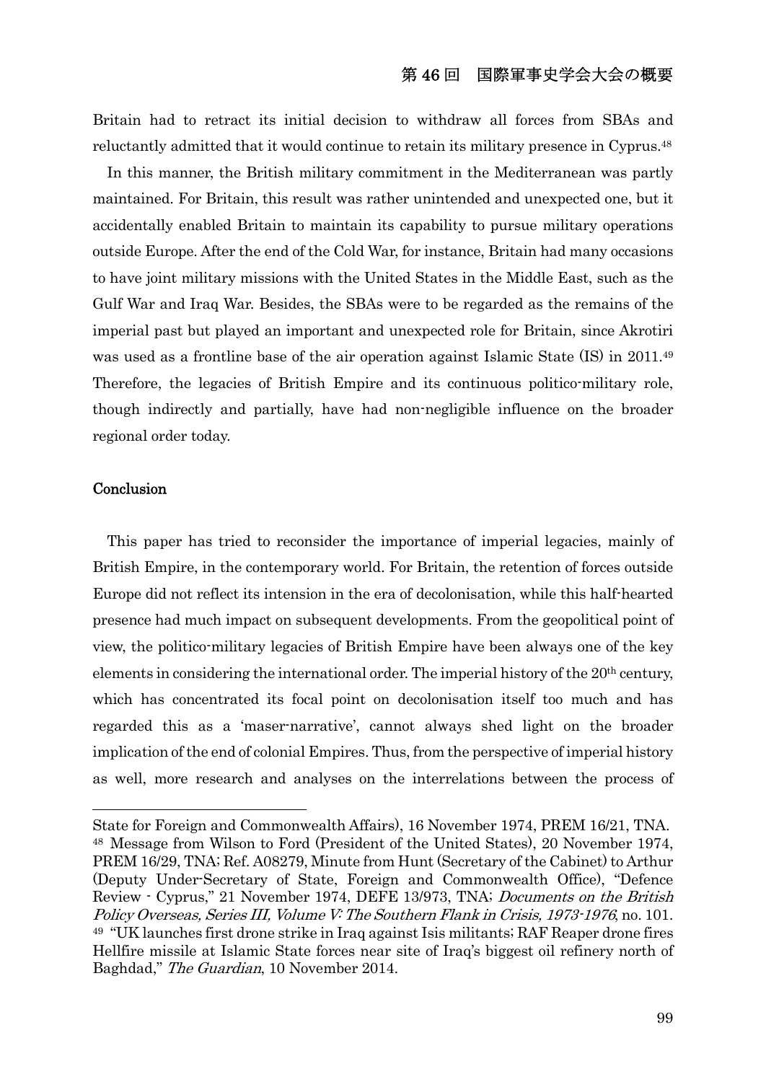Britain had to retract its initial decision to withdraw all forces from SBAs and reluctantly admitted that it would continue to retain its military presence in Cyprus.48

 In this manner, the British military commitment in the Mediterranean was partly maintained. For Britain, this result was rather unintended and unexpected one, but it accidentally enabled Britain to maintain its capability to pursue military operations outside Europe. After the end of the Cold War, for instance, Britain had many occasions to have joint military missions with the United States in the Middle East, such as the Gulf War and Iraq War. Besides, the SBAs were to be regarded as the remains of the imperial past but played an important and unexpected role for Britain, since Akrotiri was used as a frontline base of the air operation against Islamic State (IS) in 2011.<sup>49</sup> Therefore, the legacies of British Empire and its continuous politico-military role, though indirectly and partially, have had non-negligible influence on the broader regional order today.

#### **Conclusion**

 This paper has tried to reconsider the importance of imperial legacies, mainly of British Empire, in the contemporary world. For Britain, the retention of forces outside Europe did not reflect its intension in the era of decolonisation, while this half-hearted presence had much impact on subsequent developments. From the geopolitical point of view, the politico-military legacies of British Empire have been always one of the key elements in considering the international order. The imperial history of the 20th century, which has concentrated its focal point on decolonisation itself too much and has regarded this as a 'maser-narrative', cannot always shed light on the broader implication of the end of colonial Empires. Thus, from the perspective of imperial history as well, more research and analyses on the interrelations between the process of

State for Foreign and Commonwealth Affairs), 16 November 1974, PREM 16/21, TNA. 48 Message from Wilson to Ford (President of the United States), 20 November 1974, PREM 16/29, TNA; Ref. A08279, Minute from Hunt (Secretary of the Cabinet) to Arthur (Deputy Under-Secretary of State, Foreign and Commonwealth Office), "Defence Review - Cyprus," 21 November 1974, DEFE 13/973, TNA; Documents on the British Policy Overseas, Series III, Volume V: The Southern Flank in Crisis, 1973-1976, no. 101. 49 "UK launches first drone strike in Iraq against Isis militants; RAF Reaper drone fires Hellfire missile at Islamic State forces near site of Iraq's biggest oil refinery north of Baghdad," The Guardian, 10 November 2014.